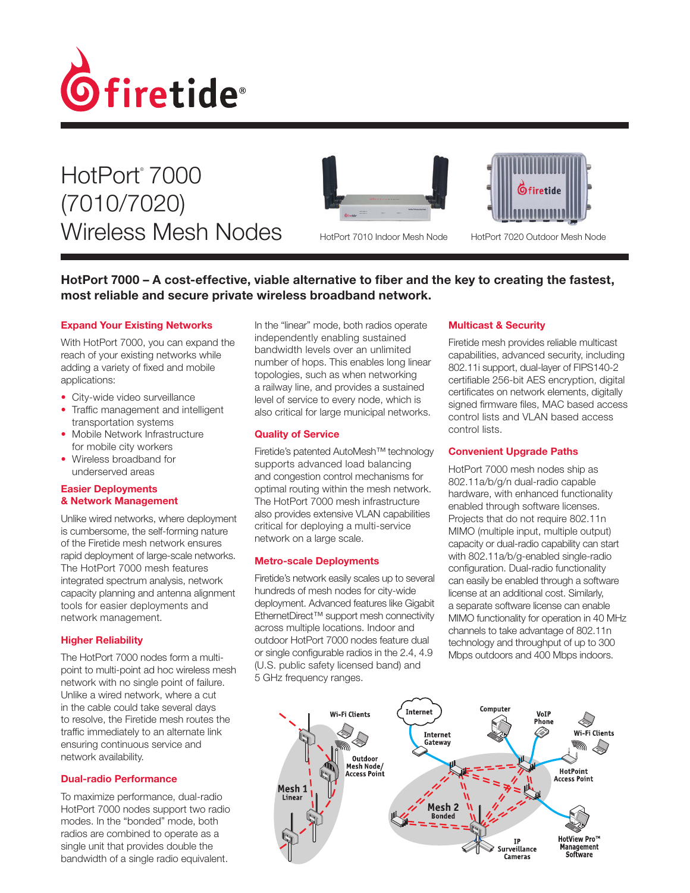

HotPort® 7000 (7010/7020) Wireless Mesh Nodes HotPort 7010 Indoor Mesh Node







HotPort 7020 Outdoor Mesh Node

# HotPort 7000 – A cost-effective, viable alternative to fiber and the key to creating the fastest, most reliable and secure private wireless broadband network.

### Expand Your Existing Networks

With HotPort 7000, you can expand the reach of your existing networks while adding a variety of fixed and mobile applications:

- City-wide video surveillance
- Traffic management and intelligent transportation systems
- Mobile Network Infrastructure for mobile city workers
- Wireless broadband for underserved areas

### Easier Deployments & Network Management

Unlike wired networks, where deployment is cumbersome, the self-forming nature of the Firetide mesh network ensures rapid deployment of large-scale networks. The HotPort 7000 mesh features integrated spectrum analysis, network capacity planning and antenna alignment tools for easier deployments and network management.

### Higher Reliability

The HotPort 7000 nodes form a multipoint to multi-point ad hoc wireless mesh network with no single point of failure. Unlike a wired network, where a cut in the cable could take several days to resolve, the Firetide mesh routes the traffic immediately to an alternate link ensuring continuous service and network availability.

### Dual-radio Performance

To maximize performance, dual-radio HotPort 7000 nodes support two radio modes. In the "bonded" mode, both radios are combined to operate as a single unit that provides double the bandwidth of a single radio equivalent.

In the "linear" mode, both radios operate independently enabling sustained bandwidth levels over an unlimited number of hops. This enables long linear topologies, such as when networking a railway line, and provides a sustained level of service to every node, which is also critical for large municipal networks.

### Quality of Service

Firetide's patented AutoMesh™ technology supports advanced load balancing and congestion control mechanisms for optimal routing within the mesh network. The HotPort 7000 mesh infrastructure also provides extensive VLAN capabilities critical for deploying a multi-service network on a large scale.

#### Metro-scale Deployments

Firetide's network easily scales up to several hundreds of mesh nodes for city-wide deployment. Advanced features like Gigabit EthernetDirect™ support mesh connectivity across multiple locations. Indoor and outdoor HotPort 7000 nodes feature dual or single configurable radios in the 2.4, 4.9 (U.S. public safety licensed band) and 5 GHz frequency ranges.

#### Multicast & Security

Firetide mesh provides reliable multicast capabilities, advanced security, including 802.11i support, dual-layer of FIPS140-2 certifiable 256-bit AES encryption, digital certificates on network elements, digitally signed firmware files, MAC based access control lists and VLAN based access control lists.

#### Convenient Upgrade Paths

HotPort 7000 mesh nodes ship as 802.11a/b/g/n dual-radio capable hardware, with enhanced functionality enabled through software licenses. Projects that do not require 802.11n MIMO (multiple input, multiple output) capacity or dual-radio capability can start with 802.11a/b/g-enabled single-radio configuration. Dual-radio functionality can easily be enabled through a software license at an additional cost. Similarly, a separate software license can enable MIMO functionality for operation in 40 MHz channels to take advantage of 802.11n technology and throughput of up to 300 Mbps outdoors and 400 Mbps indoors.